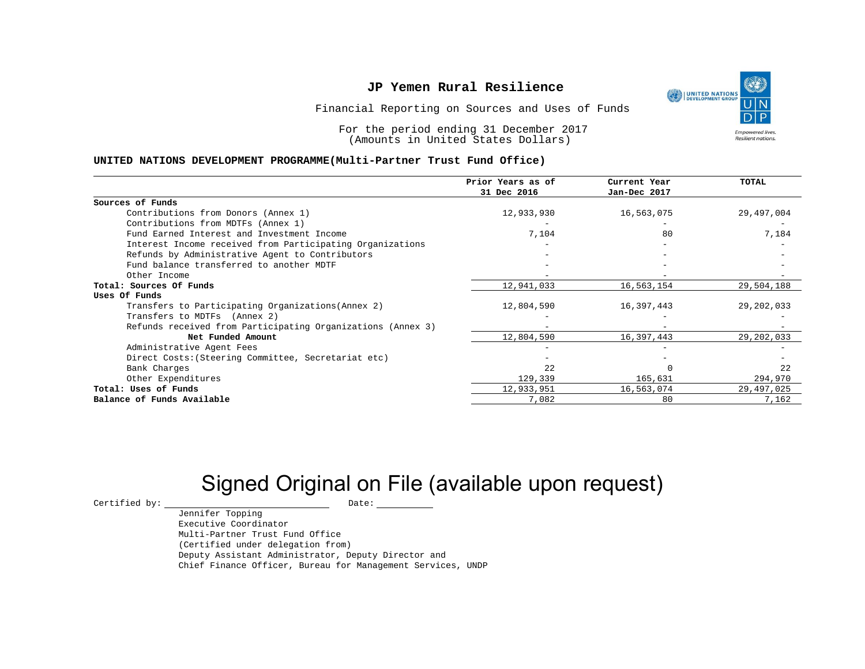UNITED NATIONS **Empowered lives** Resilient nations.

Financial Reporting on Sources and Uses of Funds

For the period ending 31 December 2017 (Amounts in United States Dollars)

#### **UNITED NATIONS DEVELOPMENT PROGRAMME(Multi-Partner Trust Fund Office)**

|                                                             | Prior Years as of<br>31 Dec 2016 | Current Year<br>Jan-Dec 2017 | <b>TOTAL</b> |
|-------------------------------------------------------------|----------------------------------|------------------------------|--------------|
|                                                             |                                  |                              |              |
| Sources of Funds                                            |                                  |                              |              |
| Contributions from Donors (Annex 1)                         | 12,933,930                       | 16,563,075                   | 29,497,004   |
| Contributions from MDTFs (Annex 1)                          |                                  |                              |              |
| Fund Earned Interest and Investment Income                  | 7,104                            | 80                           | 7,184        |
| Interest Income received from Participating Organizations   |                                  |                              |              |
| Refunds by Administrative Agent to Contributors             |                                  |                              |              |
| Fund balance transferred to another MDTF                    |                                  |                              |              |
| Other Income                                                |                                  |                              |              |
| Total: Sources Of Funds                                     | 12,941,033                       | 16,563,154                   | 29,504,188   |
| Uses Of Funds                                               |                                  |                              |              |
| Transfers to Participating Organizations (Annex 2)          | 12,804,590                       | 16,397,443                   | 29,202,033   |
| Transfers to MDTFs (Annex 2)                                |                                  |                              |              |
| Refunds received from Participating Organizations (Annex 3) |                                  |                              |              |
| Net Funded Amount                                           | 12,804,590                       | 16,397,443                   | 29,202,033   |
| Administrative Agent Fees                                   |                                  |                              |              |
| Direct Costs: (Steering Committee, Secretariat etc)         |                                  |                              |              |
| Bank Charges                                                | 2.2                              |                              | 22           |
| Other Expenditures                                          | 129,339                          | 165,631                      | 294,970      |
| Total: Uses of Funds                                        | 12,933,951                       | 16,563,074                   | 29,497,025   |
| Balance of Funds Available                                  | 7,082                            | 80                           | 7,162        |

# Signed Original on File (available upon request)

 $\begin{array}{cccc}\n\text{Certified by:}\quad\text{---}\quad\text{---}\quad\text{---}\quad\text{Date:}\quad\text{---}\quad\text{---}\quad\text{---}\quad\text{---}\quad\text{---}\quad\text{---}\quad\text{---}\quad\text{---}\quad\text{---}\quad\text{---}\quad\text{---}\quad\text{---}\quad\text{---}\quad\text{---}\quad\text{---}\quad\text{---}\quad\text{---}\quad\text{---}\quad\text{---}\quad\text{---}\quad\text{---}\quad\text{---}\quad\text{---}\quad\text{---}\quad\text{---}\quad\text{---}\quad\text{---}\quad\text{---}\quad\text{---}\quad\text{---$ 

Jennifer Topping Executive Coordinator Multi-Partner Trust Fund Office (Certified under delegation from) Deputy Assistant Administrator, Deputy Director and Chief Finance Officer, Bureau for Management Services, UNDP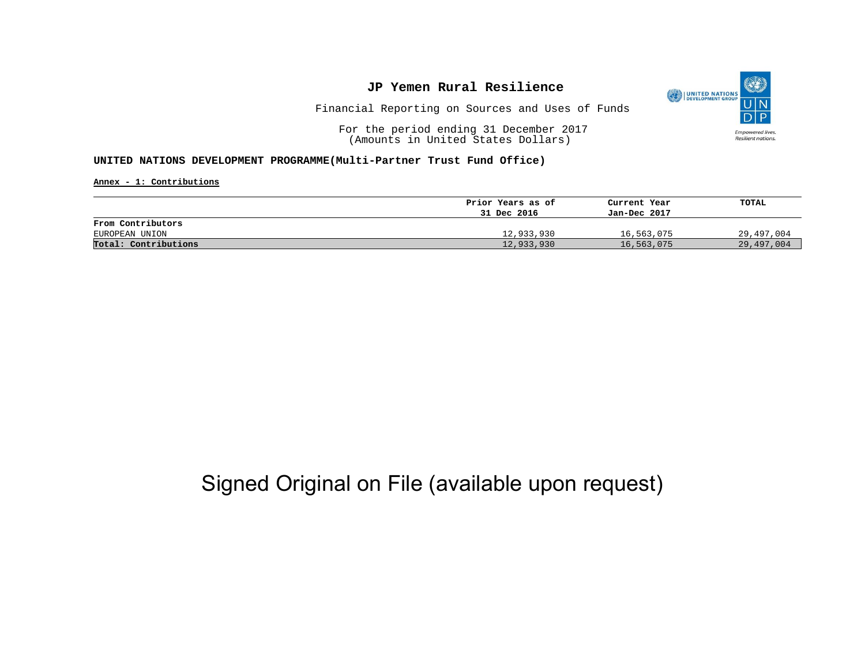

Financial Reporting on Sources and Uses of Funds

For the period ending 31 December 2017 (Amounts in United States Dollars)

#### **UNITED NATIONS DEVELOPMENT PROGRAMME(Multi-Partner Trust Fund Office)**

**Annex - 1: Contributions**

| Prior Years as of | Current Year | TOTAL      |
|-------------------|--------------|------------|
| 31 Dec 2016       | Jan-Dec 2017 |            |
|                   |              |            |
| 12,933,930        | 16,563,075   | 29,497,004 |
| 12,933,930        | 16,563,075   | 29,497,004 |
|                   |              |            |

## Signed Original on File (available upon request)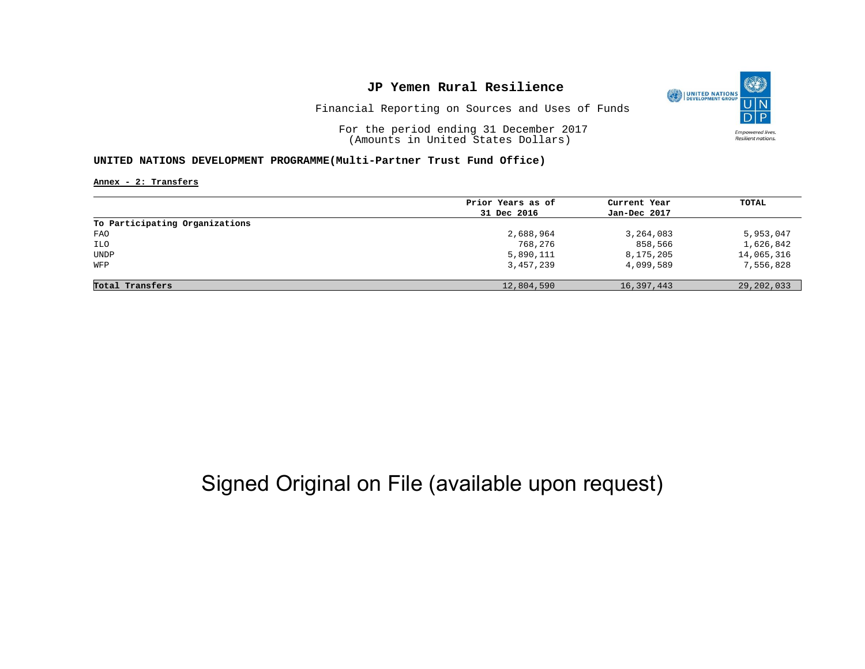

Financial Reporting on Sources and Uses of Funds

For the period ending 31 December 2017 (Amounts in United States Dollars)

#### **UNITED NATIONS DEVELOPMENT PROGRAMME(Multi-Partner Trust Fund Office)**

**Annex - 2: Transfers**

|                                | Prior Years as of | Current Year | TOTAL        |
|--------------------------------|-------------------|--------------|--------------|
|                                | 31 Dec 2016       | Jan-Dec 2017 |              |
| To Participating Organizations |                   |              |              |
| FAO                            | 2,688,964         | 3,264,083    | 5,953,047    |
| ILO                            | 768,276           | 858,566      | 1,626,842    |
| UNDP                           | 5,890,111         | 8,175,205    | 14,065,316   |
| WFP                            | 3,457,239         | 4,099,589    | 7,556,828    |
|                                |                   |              |              |
| Total Transfers                | 12,804,590        | 16,397,443   | 29, 202, 033 |

# Signed Original on File (available upon request)